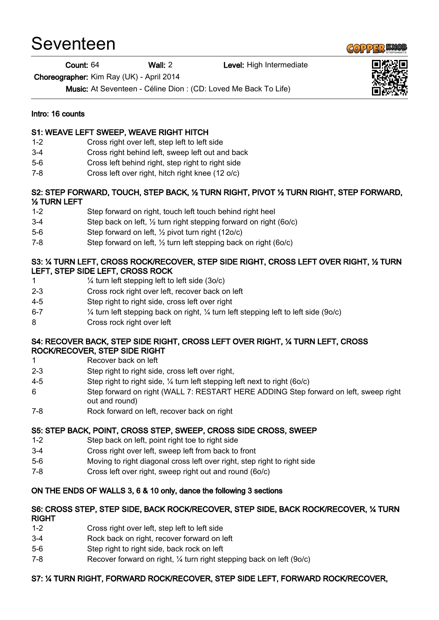# Seventeen

Count: 64 Wall: 2 Level: High Intermediate

Choreographer: Kim Ray (UK) - April 2014

Music: At Seventeen - Céline Dion : (CD: Loved Me Back To Life)

#### Intro: 16 counts

## S1: WEAVE LEFT SWEEP, WEAVE RIGHT HITCH

- 1-2 Cross right over left, step left to left side
- 3-4 Cross right behind left, sweep left out and back
- 5-6 Cross left behind right, step right to right side
- 7-8 Cross left over right, hitch right knee (12 o/c)

#### S2: STEP FORWARD, TOUCH, STEP BACK, ½ TURN RIGHT, PIVOT ½ TURN RIGHT, STEP FORWARD, ½ TURN LEFT

- 1-2 Step forward on right, touch left touch behind right heel
- 3-4 Step back on left, ½ turn right stepping forward on right (6o/c)
- 5-6 Step forward on left, ½ pivot turn right (12o/c)
- 7-8 Step forward on left, ½ turn left stepping back on right (6o/c)

# S3: ¼ TURN LEFT, CROSS ROCK/RECOVER, STEP SIDE RIGHT, CROSS LEFT OVER RIGHT, ½ TURN LEFT, STEP SIDE LEFT, CROSS ROCK

- 1  $\frac{1}{4}$  turn left stepping left to left side (3o/c)
- 2-3 Cross rock right over left, recover back on left
- 4-5 Step right to right side, cross left over right
- 6-7  $\frac{1}{4}$  turn left stepping back on right,  $\frac{1}{4}$  turn left stepping left to left side (90/c)
- 8 Cross rock right over left

## S4: RECOVER BACK, STEP SIDE RIGHT, CROSS LEFT OVER RIGHT, ¼ TURN LEFT, CROSS ROCK/RECOVER, STEP SIDE RIGHT

- 1 Recover back on left
- 2-3 Step right to right side, cross left over right,
- 4-5 Step right to right side, ¼ turn left stepping left next to right (6o/c)
- 6 Step forward on right (WALL 7: RESTART HERE ADDING Step forward on left, sweep right out and round)
- 7-8 Rock forward on left, recover back on right

# S5: STEP BACK, POINT, CROSS STEP, SWEEP, CROSS SIDE CROSS, SWEEP

- 1-2 Step back on left, point right toe to right side
- 3-4 Cross right over left, sweep left from back to front
- 5-6 Moving to right diagonal cross left over right, step right to right side
- 7-8 Cross left over right, sweep right out and round (6o/c)

# ON THE ENDS OF WALLS 3, 6 & 10 only, dance the following 3 sections

#### S6: CROSS STEP, STEP SIDE, BACK ROCK/RECOVER, STEP SIDE, BACK ROCK/RECOVER, ¼ TURN RIGHT

- 1-2 Cross right over left, step left to left side
- 3-4 Rock back on right, recover forward on left
- 5-6 Step right to right side, back rock on left
- 7-8 Recover forward on right, ¼ turn right stepping back on left (9o/c)

# S7: ¼ TURN RIGHT, FORWARD ROCK/RECOVER, STEP SIDE LEFT, FORWARD ROCK/RECOVER,